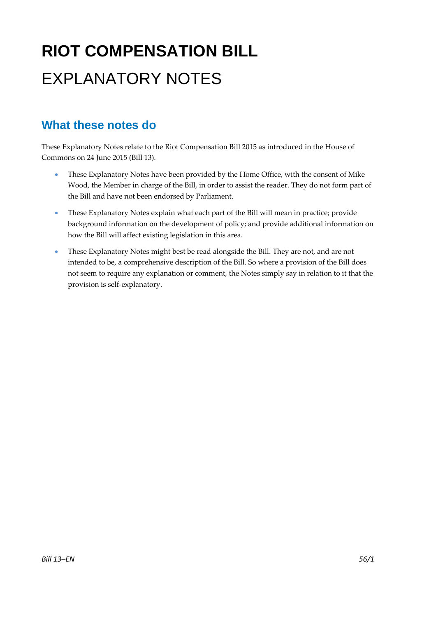# **RIOT COMPENSATION BILL**  EXPLANATORY NOTES

## **What these notes do**

- These Explanatory Notes have been provided by the Home Office, with the consent of Mike Wood, the Member in charge of the Bill, in order to assist the reader. They do not form part of the Bill and have not been endorsed by Parliament.
- These Explanatory Notes explain what each part of the Bill will mean in practice; provide background information on the development of policy; and provide additional information on how the Bill will affect existing legislation in this area.
- These Explanatory Notes might best be read alongside the Bill. They are not, and are not intended to be, a comprehensive description of the Bill. So where a provision of the Bill does not seem to require any explanation or comment, the Notes simply say in relation to it that the provision is self‐explanatory.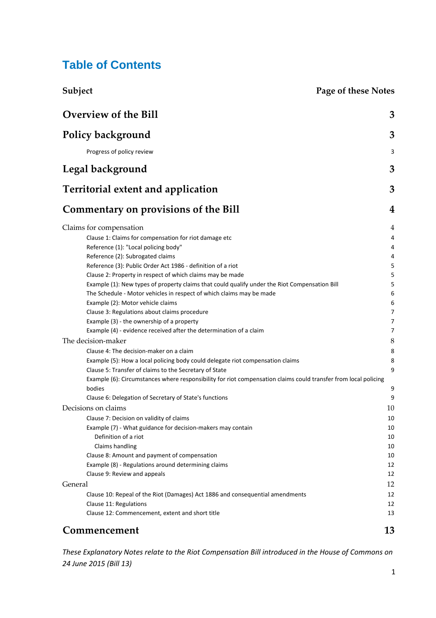## **Table of Contents**

| Subject                                                                                                                                                    | <b>Page of these Notes</b> |  |
|------------------------------------------------------------------------------------------------------------------------------------------------------------|----------------------------|--|
| <b>Overview of the Bill</b>                                                                                                                                | 3                          |  |
| <b>Policy background</b>                                                                                                                                   | 3                          |  |
| Progress of policy review                                                                                                                                  | 3                          |  |
| Legal background                                                                                                                                           | 3                          |  |
| <b>Territorial extent and application</b>                                                                                                                  | 3                          |  |
| Commentary on provisions of the Bill                                                                                                                       | 4                          |  |
| Claims for compensation                                                                                                                                    | 4                          |  |
| Clause 1: Claims for compensation for riot damage etc                                                                                                      | 4                          |  |
| Reference (1): "Local policing body"                                                                                                                       | 4                          |  |
| Reference (2): Subrogated claims                                                                                                                           | 4                          |  |
| Reference (3): Public Order Act 1986 - definition of a riot                                                                                                | 5                          |  |
| Clause 2: Property in respect of which claims may be made<br>Example (1): New types of property claims that could qualify under the Riot Compensation Bill | 5<br>5                     |  |
| The Schedule - Motor vehicles in respect of which claims may be made                                                                                       | 6                          |  |
| Example (2): Motor vehicle claims                                                                                                                          | 6                          |  |
| Clause 3: Regulations about claims procedure                                                                                                               | 7                          |  |
| Example (3) - the ownership of a property                                                                                                                  | 7                          |  |
| Example (4) - evidence received after the determination of a claim                                                                                         | 7                          |  |
| The decision-maker                                                                                                                                         | 8                          |  |
| Clause 4: The decision-maker on a claim                                                                                                                    | 8                          |  |
| Example (5): How a local policing body could delegate riot compensation claims                                                                             | 8                          |  |
| Clause 5: Transfer of claims to the Secretary of State                                                                                                     | 9                          |  |
| Example (6): Circumstances where responsibility for riot compensation claims could transfer from local policing                                            |                            |  |
| bodies<br>Clause 6: Delegation of Secretary of State's functions                                                                                           | 9<br>9                     |  |
| Decisions on claims                                                                                                                                        | 10                         |  |
| Clause 7: Decision on validity of claims                                                                                                                   | 10                         |  |
| Example (7) - What guidance for decision-makers may contain                                                                                                | 10                         |  |
| Definition of a riot                                                                                                                                       | 10                         |  |
| Claims handling                                                                                                                                            | 10                         |  |
| Clause 8: Amount and payment of compensation                                                                                                               | 10                         |  |
| Example (8) - Regulations around determining claims                                                                                                        | 12                         |  |
| Clause 9: Review and appeals                                                                                                                               | 12                         |  |
| General                                                                                                                                                    | 12                         |  |
| Clause 10: Repeal of the Riot (Damages) Act 1886 and consequential amendments                                                                              | 12                         |  |
| Clause 11: Regulations<br>Clause 12: Commencement, extent and short title                                                                                  | 12<br>13                   |  |
|                                                                                                                                                            |                            |  |
| Commencement                                                                                                                                               | 13                         |  |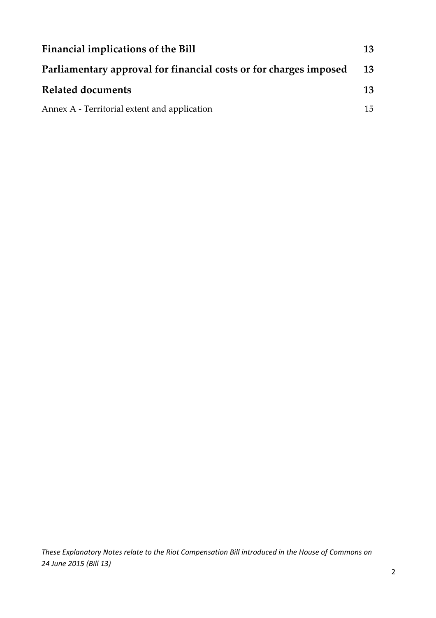| Financial implications of the Bill                                |           |  |  |  |
|-------------------------------------------------------------------|-----------|--|--|--|
| Parliamentary approval for financial costs or for charges imposed | <b>13</b> |  |  |  |
| Related documents                                                 | 13        |  |  |  |
| Annex A - Territorial extent and application                      | 15        |  |  |  |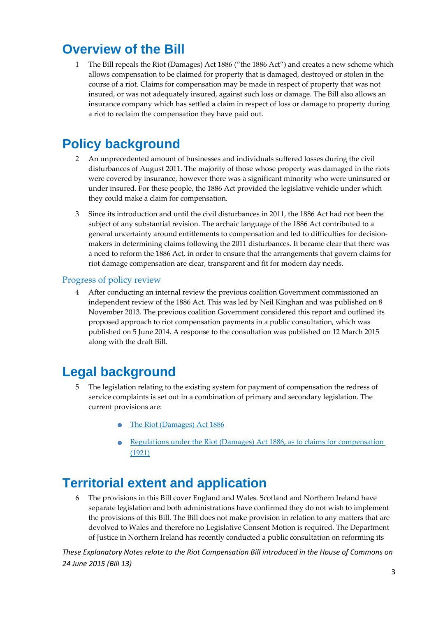## **Overview of the Bill**

1 The Bill repeals the Riot (Damages) Act 1886 ("the 1886 Act") and creates a new scheme which allows compensation to be claimed for property that is damaged, destroyed or stolen in the course of a riot. Claims for compensation may be made in respect of property that was not insured, or was not adequately insured, against such loss or damage. The Bill also allows an insurance company which has settled a claim in respect of loss or damage to property during a riot to reclaim the compensation they have paid out.

## **Policy background**

- 2 An unprecedented amount of businesses and individuals suffered losses during the civil disturbances of August 2011. The majority of those whose property was damaged in the riots were covered by insurance, however there was a significant minority who were uninsured or under insured. For these people, the 1886 Act provided the legislative vehicle under which they could make a claim for compensation.
- 3 Since its introduction and until the civil disturbances in 2011, the 1886 Act had not been the subject of any substantial revision. The archaic language of the 1886 Act contributed to a general uncertainty around entitlements to compensation and led to difficulties for decisionmakers in determining claims following the 2011 disturbances. It became clear that there was a need to reform the 1886 Act, in order to ensure that the arrangements that govern claims for riot damage compensation are clear, transparent and fit for modern day needs.

## Progress of policy review

4 After conducting an internal review the previous coalition Government commissioned an independent review of the 1886 Act. This was led by Neil Kinghan and was published on 8 November 2013. The previous coalition Government considered this report and outlined its proposed approach to riot compensation payments in a public consultation, which was published on 5 June 2014. A response to the consultation was published on 12 March 2015 along with the draft Bill.

## **Legal background**

- 5 The legislation relating to the existing system for payment of compensation the redress of service complaints is set out in a combination of primary and secondary legislation. The current provisions are:
	- The Riot (Damages) Act <sup>1886</sup>
	- Regulations under the Riot (Damages) Act 1886, as to claims for compensation (1921)

## **Territorial extent and application**

6 The provisions in this Bill cover England and Wales. Scotland and Northern Ireland have separate legislation and both administrations have confirmed they do not wish to implement the provisions of this Bill. The Bill does not make provision in relation to any matters that are devolved to Wales and therefore no Legislative Consent Motion is required. The Department of Justice in Northern Ireland has recently conducted a public consultation on reforming its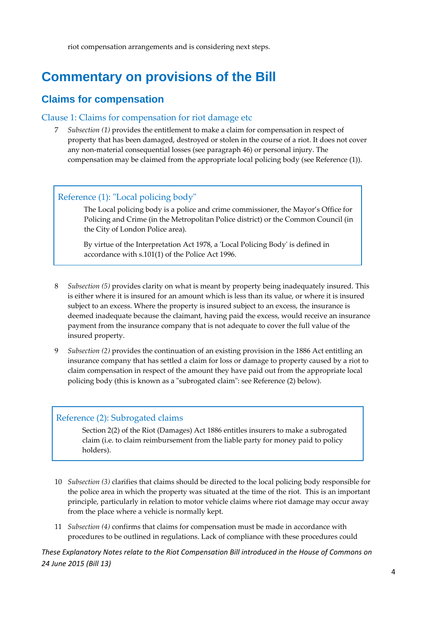riot compensation arrangements and is considering next steps.

## **Commentary on provisions of the Bill**

## **Claims for compensation**

### Clause 1: Claims for compensation for riot damage etc

7 *Subsection (1)* provides the entitlement to make a claim for compensation in respect of property that has been damaged, destroyed or stolen in the course of a riot. It does not cover any non‐material consequential losses (see paragraph 46) or personal injury. The compensation may be claimed from the appropriate local policing body (see Reference (1)).

## Reference (1): "Local policing body"

 The Local policing body is a police and crime commissioner, the Mayor's Office for Policing and Crime (in the Metropolitan Police district) or the Common Council (in the City of London Police area).

By virtue of the Interpretation Act 1978, a 'Local Policing Body' is defined in accordance with s.101(1) of the Police Act 1996.

- 8 *Subsection (5)* provides clarity on what is meant by property being inadequately insured. This is either where it is insured for an amount which is less than its value, or where it is insured subject to an excess. Where the property is insured subject to an excess, the insurance is deemed inadequate because the claimant, having paid the excess, would receive an insurance payment from the insurance company that is not adequate to cover the full value of the insured property.
- 9 *Subsection (2)* provides the continuation of an existing provision in the 1886 Act entitling an insurance company that has settled a claim for loss or damage to property caused by a riot to claim compensation in respect of the amount they have paid out from the appropriate local policing body (this is known as a "subrogated claim": see Reference (2) below).

#### Reference (2): Subrogated claims

Section 2(2) of the Riot (Damages) Act 1886 entitles insurers to make a subrogated claim (i.e. to claim reimbursement from the liable party for money paid to policy holders).

- 10 *Subsection (3)* clarifies that claims should be directed to the local policing body responsible for the police area in which the property was situated at the time of the riot. This is an important principle, particularly in relation to motor vehicle claims where riot damage may occur away from the place where a vehicle is normally kept.
- 11 *Subsection (4)* confirms that claims for compensation must be made in accordance with procedures to be outlined in regulations. Lack of compliance with these procedures could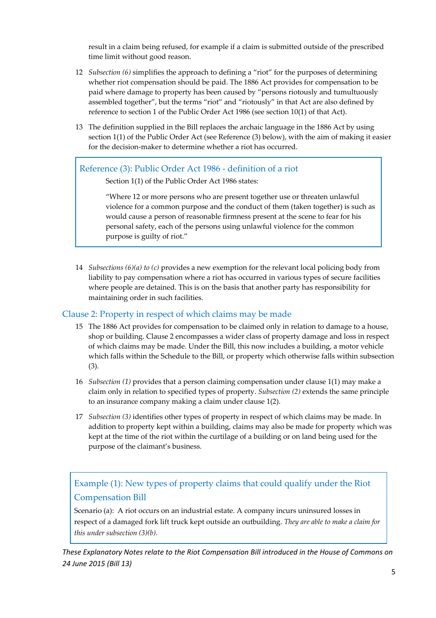result in a claim being refused, for example if a claim is submitted outside of the prescribed time limit without good reason.

- 12 *Subsection (6)* simplifies the approach to defining a "riot" for the purposes of determining whether riot compensation should be paid. The 1886 Act provides for compensation to be paid where damage to property has been caused by "persons riotously and tumultuously assembled together", but the terms "riot" and "riotously" in that Act are also defined by reference to section 1 of the Public Order Act 1986 (see section 10(1) of that Act).
- 13 The definition supplied in the Bill replaces the archaic language in the 1886 Act by using section 1(1) of the Public Order Act (see Reference (3) below), with the aim of making it easier for the decision‐maker to determine whether a riot has occurred.

### Reference (3): Public Order Act 1986 ‐ definition of a riot

Section 1(1) of the Public Order Act 1986 states:

"Where 12 or more persons who are present together use or threaten unlawful violence for a common purpose and the conduct of them (taken together) is such as would cause a person of reasonable firmness present at the scene to fear for his personal safety, each of the persons using unlawful violence for the common purpose is guilty of riot."

14 *Subsections (6)(a) to (c)* provides a new exemption for the relevant local policing body from liability to pay compensation where a riot has occurred in various types of secure facilities where people are detained. This is on the basis that another party has responsibility for maintaining order in such facilities.

### Clause 2: Property in respect of which claims may be made

- 15 The 1886 Act provides for compensation to be claimed only in relation to damage to a house, shop or building. Clause 2 encompasses a wider class of property damage and loss in respect of which claims may be made. Under the Bill, this now includes a building, a motor vehicle which falls within the Schedule to the Bill, or property which otherwise falls within subsection (3).
- 16 *Subsection (1)* provides that a person claiming compensation under clause 1(1) may make a claim only in relation to specified types of property. *Subsection (2)* extends the same principle to an insurance company making a claim under clause 1(2).
- 17 *Subsection (3)* identifies other types of property in respect of which claims may be made. In addition to property kept within a building, claims may also be made for property which was kept at the time of the riot within the curtilage of a building or on land being used for the purpose of the claimant's business.

## Example (1): New types of property claims that could qualify under the Riot Compensation Bill

Scenario (a): A riot occurs on an industrial estate. A company incurs uninsured losses in respect of a damaged fork lift truck kept outside an outbuilding. *They are able to make a claim for this under subsection (3)(b).*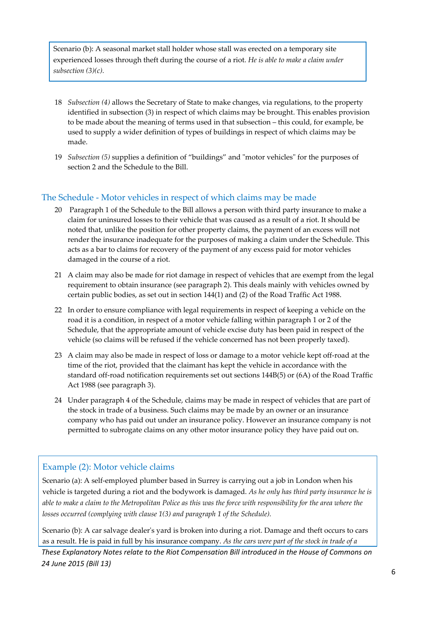Scenario (b): A seasonal market stall holder whose stall was erected on a temporary site experienced losses through theft during the course of a riot. *He is able to make a claim under subsection (3)(c).*

- 18 *Subsection (4)* allows the Secretary of State to make changes, via regulations, to the property identified in subsection (3) in respect of which claims may be brought. This enables provision to be made about the meaning of terms used in that subsection – this could, for example, be used to supply a wider definition of types of buildings in respect of which claims may be made.
- 19 *Subsection* (5) supplies a definition of "buildings" and "motor vehicles" for the purposes of section 2 and the Schedule to the Bill.

## The Schedule ‐ Motor vehicles in respect of which claims may be made

- 20 Paragraph 1 of the Schedule to the Bill allows a person with third party insurance to make a claim for uninsured losses to their vehicle that was caused as a result of a riot. It should be noted that, unlike the position for other property claims, the payment of an excess will not render the insurance inadequate for the purposes of making a claim under the Schedule. This acts as a bar to claims for recovery of the payment of any excess paid for motor vehicles damaged in the course of a riot.
- 21 A claim may also be made for riot damage in respect of vehicles that are exempt from the legal requirement to obtain insurance (see paragraph 2). This deals mainly with vehicles owned by certain public bodies, as set out in section 144(1) and (2) of the Road Traffic Act 1988.
- 22 In order to ensure compliance with legal requirements in respect of keeping a vehicle on the road it is a condition, in respect of a motor vehicle falling within paragraph 1 or 2 of the Schedule, that the appropriate amount of vehicle excise duty has been paid in respect of the vehicle (so claims will be refused if the vehicle concerned has not been properly taxed).
- 23 A claim may also be made in respect of loss or damage to a motor vehicle kept off-road at the time of the riot, provided that the claimant has kept the vehicle in accordance with the standard off‐road notification requirements set out sections 144B(5) or (6A) of the Road Traffic Act 1988 (see paragraph 3).
- 24 Under paragraph 4 of the Schedule, claims may be made in respect of vehicles that are part of the stock in trade of a business. Such claims may be made by an owner or an insurance company who has paid out under an insurance policy. However an insurance company is not permitted to subrogate claims on any other motor insurance policy they have paid out on.

## Example (2): Motor vehicle claims

Scenario (a): A self-employed plumber based in Surrey is carrying out a job in London when his vehicle is targeted during a riot and the bodywork is damaged. *As he only has third party insurance he is* able to make a claim to the Metropolitan Police as this was the force with responsibility for the area where the *losses occurred (complying with clause 1(3) and paragraph 1 of the Schedule).*

Scenario (b): A car salvage dealer's yard is broken into during a riot. Damage and theft occurs to cars as a result. He is paid in full by his insurance company. *As the cars were part of the stock in trade of a*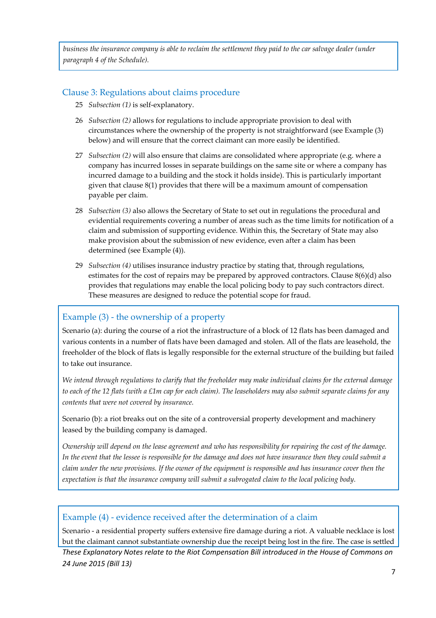business the insurance company is able to reclaim the settlement they paid to the car salvage dealer (under *paragraph 4 of the Schedule).*

### Clause 3: Regulations about claims procedure

- 25 *Subsection (1)* is self‐explanatory.
- 26 *Subsection (2)* allows for regulations to include appropriate provision to deal with circumstances where the ownership of the property is not straightforward (see Example (3) below) and will ensure that the correct claimant can more easily be identified.
- 27 *Subsection (2)* will also ensure that claims are consolidated where appropriate (e.g. where a company has incurred losses in separate buildings on the same site or where a company has incurred damage to a building and the stock it holds inside). This is particularly important given that clause  $8(1)$  provides that there will be a maximum amount of compensation payable per claim.
- 28 *Subsection (3)* also allows the Secretary of State to set out in regulations the procedural and evidential requirements covering a number of areas such as the time limits for notification of a claim and submission of supporting evidence. Within this, the Secretary of State may also make provision about the submission of new evidence, even after a claim has been determined (see Example (4)).
- 29 *Subsection (4)* utilises insurance industry practice by stating that, through regulations, estimates for the cost of repairs may be prepared by approved contractors. Clause 8(6)(d) also provides that regulations may enable the local policing body to pay such contractors direct. These measures are designed to reduce the potential scope for fraud.

## Example (3) - the ownership of a property

Scenario (a): during the course of a riot the infrastructure of a block of 12 flats has been damaged and various contents in a number of flats have been damaged and stolen. All of the flats are leasehold, the freeholder of the block of flats is legally responsible for the external structure of the building but failed to take out insurance.

We intend through regulations to clarify that the freeholder may make individual claims for the external damage to each of the 12 flats (with a £1m cap for each claim). The leaseholders may also submit separate claims for any *contents that were not covered by insurance.*

Scenario (b): a riot breaks out on the site of a controversial property development and machinery leased by the building company is damaged.

Ownership will depend on the lease agreement and who has responsibility for repairing the cost of the damage. In the event that the lessee is responsible for the damage and does not have insurance then they could submit a claim under the new provisions. If the owner of the equipment is responsible and has insurance cover then the *expectation is that the insurance company will submit a subrogated claim to the local policing body.*

## Example (4) ‐ evidence received after the determination of a claim

Scenario - a residential property suffers extensive fire damage during a riot. A valuable necklace is lost but the claimant cannot substantiate ownership due the receipt being lost in the fire. The case is settled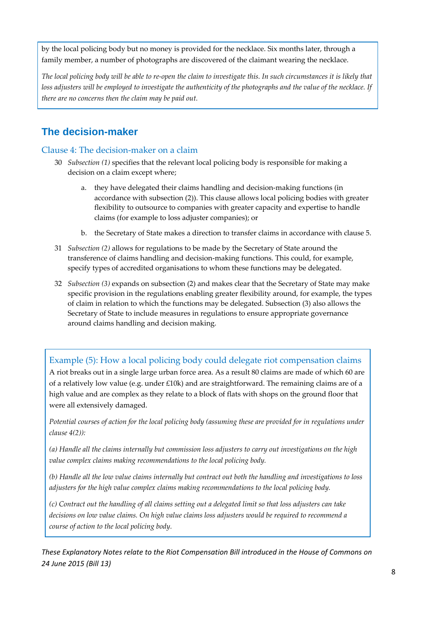by the local policing body but no money is provided for the necklace. Six months later, through a family member, a number of photographs are discovered of the claimant wearing the necklace.

The local policing body will be able to re-open the claim to investigate this. In such circumstances it is likely that loss adjusters will be employed to investigate the authenticity of the photographs and the value of the necklace. If *there are no concerns then the claim may be paid out.*

## **The decision-maker**

### Clause 4: The decision‐maker on a claim

- 30 *Subsection (1)* specifies that the relevant local policing body is responsible for making a decision on a claim except where;
	- a. they have delegated their claims handling and decision‐making functions (in accordance with subsection (2)). This clause allows local policing bodies with greater flexibility to outsource to companies with greater capacity and expertise to handle claims (for example to loss adjuster companies); or
	- b. the Secretary of State makes a direction to transfer claims in accordance with clause 5.
- 31 *Subsection (2)* allows for regulations to be made by the Secretary of State around the transference of claims handling and decision‐making functions. This could, for example, specify types of accredited organisations to whom these functions may be delegated.
- 32 *Subsection (3)* expands on subsection (2) and makes clear that the Secretary of State may make specific provision in the regulations enabling greater flexibility around, for example, the types of claim in relation to which the functions may be delegated. Subsection (3) also allows the Secretary of State to include measures in regulations to ensure appropriate governance around claims handling and decision making.

Example (5): How a local policing body could delegate riot compensation claims A riot breaks out in a single large urban force area. As a result 80 claims are made of which 60 are of a relatively low value (e.g. under £10k) and are straightforward. The remaining claims are of a high value and are complex as they relate to a block of flats with shops on the ground floor that were all extensively damaged.

Potential courses of action for the local policing body (assuming these are provided for in regulations under *clause 4(2)):*

(a) Handle all the claims internally but commission loss adjusters to carry out investigations on the high *value complex claims making recommendations to the local policing body.*

(b) Handle all the low value claims internally but contract out both the handling and investigations to loss *adjusters for the high value complex claims making recommendations to the local policing body.*

(c) Contract out the handling of all claims setting out a delegated limit so that loss adjusters can take *decisions on low value claims. On high value claims loss adjusters would be required to recommend a course of action to the local policing body.*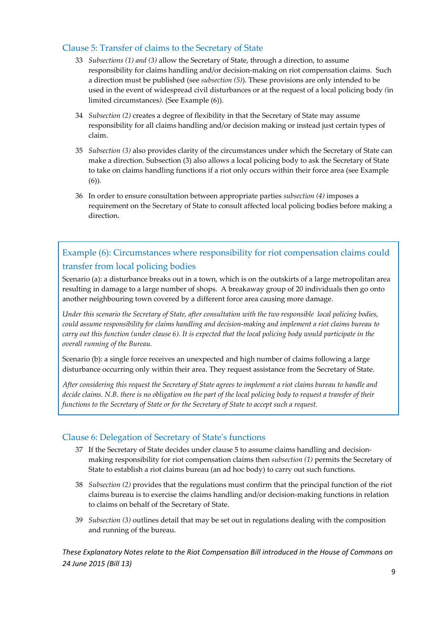## Clause 5: Transfer of claims to the Secretary of State

- 33 *Subsections (1) and (3)* allow the Secretary of State, through a direction, to assume responsibility for claims handling and/or decision‐making on riot compensation claims*.* Such a direction must be published (see *subsection (5)*). These provisions are only intended to be used in the event of widespread civil disturbances or at the request of a local policing body *(*in limited circumstances*)*. (See Example (6)).
- 34 *Subsection (2)* creates a degree of flexibility in that the Secretary of State may assume responsibility for all claims handling and/or decision making or instead just certain types of claim.
- 35 *Subsection (3)* also provides clarity of the circumstances under which the Secretary of State can make a direction. Subsection (3) also allows a local policing body to ask the Secretary of State to take on claims handling functions if a riot only occurs within their force area (see Example (6)).
- 36 In order to ensure consultation between appropriate parties *subsection (4)* imposes a requirement on the Secretary of State to consult affected local policing bodies before making a direction.

## Example (6): Circumstances where responsibility for riot compensation claims could transfer from local policing bodies

Scenario (a): a disturbance breaks out in a town, which is on the outskirts of a large metropolitan area resulting in damage to a large number of shops. A breakaway group of 20 individuals then go onto another neighbouring town covered by a different force area causing more damage.

Under this scenario the Secretary of State, after consultation with the two responsible local policing bodies, *could assume responsibility for claims handling and decision‐making and implement a riot claims bureau to* carry out this function (under clause 6). It is expected that the local policing body would participate in the *overall running of the Bureau.*

Scenario (b): a single force receives an unexpected and high number of claims following a large disturbance occurring only within their area. They request assistance from the Secretary of State.

After considering this request the Secretary of State agrees to implement a riot claims bureau to handle and decide claims. N.B. there is no obligation on the part of the local policing body to request a transfer of their *functions to the Secretary of State or for the Secretary of State to accept such a request.*

## Clause 6: Delegation of Secretary of Stateʹs functions

- 37 If the Secretary of State decides under clause 5 to assume claims handling and decision‐ making responsibility for riot compensation claims then *subsection (1)* permits the Secretary of State to establish a riot claims bureau (an ad hoc body) to carry out such functions.
- 38 *Subsection (2)* provides that the regulations must confirm that the principal function of the riot claims bureau is to exercise the claims handling and/or decision‐making functions in relation to claims on behalf of the Secretary of State.
- 39 *Subsection (3)* outlines detail that may be set out in regulations dealing with the composition and running of the bureau.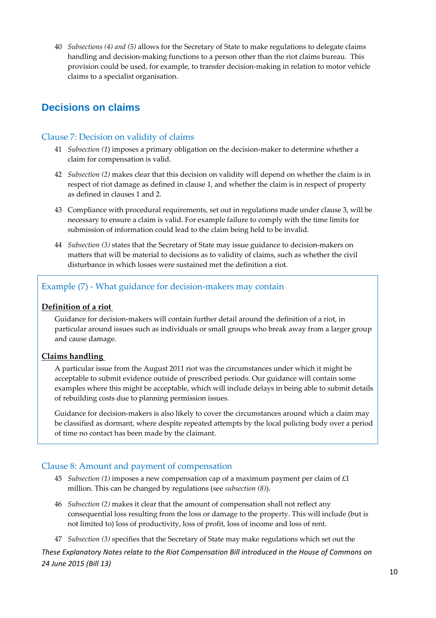40 *Subsections (4) and (5)* allows for the Secretary of State to make regulations to delegate claims handling and decision-making functions to a person other than the riot claims bureau. This provision could be used, for example, to transfer decision‐making in relation to motor vehicle claims to a specialist organisation.

## **Decisions on claims**

## Clause 7: Decision on validity of claims

- 41 *Subsection (1*) imposes a primary obligation on the decision‐maker to determine whether a claim for compensation is valid.
- 42 *Subsection (2)* makes clear that this decision on validity will depend on whether the claim is in respect of riot damage as defined in clause 1, and whether the claim is in respect of property as defined in clauses 1 and 2.
- 43 Compliance with procedural requirements, set out in regulations made under clause 3, will be necessary to ensure a claim is valid. For example failure to comply with the time limits for submission of information could lead to the claim being held to be invalid.
- 44 *Subsection (3)* states that the Secretary of State may issue guidance to decision‐makers on matters that will be material to decisions as to validity of claims, such as whether the civil disturbance in which losses were sustained met the definition a riot.

## Example (7) ‐ What guidance for decision‐makers may contain

### **Definition of a riot**

Guidance for decision‐makers will contain further detail around the definition of a riot, in particular around issues such as individuals or small groups who break away from a larger group and cause damage.

#### **Claims handling**

A particular issue from the August 2011 riot was the circumstances under which it might be acceptable to submit evidence outside of prescribed periods. Our guidance will contain some examples where this might be acceptable, which will include delays in being able to submit details of rebuilding costs due to planning permission issues.

Guidance for decision-makers is also likely to cover the circumstances around which a claim may be classified as dormant, where despite repeated attempts by the local policing body over a period of time no contact has been made by the claimant.

## Clause 8: Amount and payment of compensation

- 45 *Subsection (1)* imposes a new compensation cap of a maximum payment per claim of £1 million. This can be changed by regulations (see *subsection (8)*).
- 46 *Subsection (2)* makes it clear that the amount of compensation shall not reflect any consequential loss resulting from the loss or damage to the property. This will include (but is not limited to) loss of productivity, loss of profit, loss of income and loss of rent.
- 47 *Subsection (3)* specifies that the Secretary of State may make regulations which set out the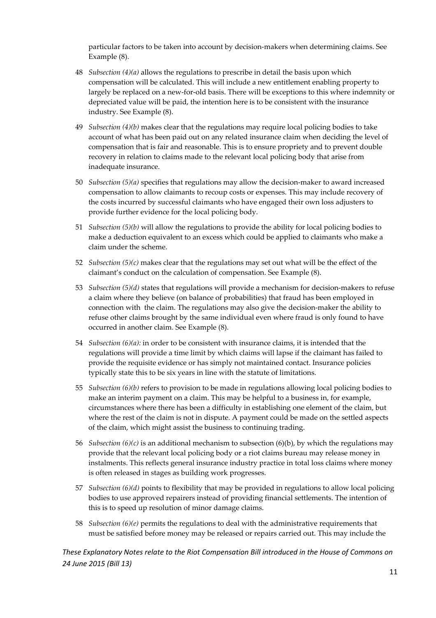particular factors to be taken into account by decision‐makers when determining claims. See Example (8).

- 48 *Subsection (4)(a)* allows the regulations to prescribe in detail the basis upon which compensation will be calculated. This will include a new entitlement enabling property to largely be replaced on a new-for-old basis. There will be exceptions to this where indemnity or depreciated value will be paid, the intention here is to be consistent with the insurance industry. See Example (8).
- 49 *Subsection (4)(b)* makes clear that the regulations may require local policing bodies to take account of what has been paid out on any related insurance claim when deciding the level of compensation that is fair and reasonable. This is to ensure propriety and to prevent double recovery in relation to claims made to the relevant local policing body that arise from inadequate insurance.
- 50 *Subsection (5)(a)* specifies that regulations may allow the decision‐maker to award increased compensation to allow claimants to recoup costs or expenses. This may include recovery of the costs incurred by successful claimants who have engaged their own loss adjusters to provide further evidence for the local policing body.
- 51 *Subsection (5)(b)* will allow the regulations to provide the ability for local policing bodies to make a deduction equivalent to an excess which could be applied to claimants who make a claim under the scheme.
- 52 *Subsection (5)(c)* makes clear that the regulations may set out what will be the effect of the claimant's conduct on the calculation of compensation. See Example (8).
- 53 *Subsection* (5)(*d*) states that regulations will provide a mechanism for decision-makers to refuse a claim where they believe (on balance of probabilities) that fraud has been employed in connection with the claim. The regulations may also give the decision-maker the ability to refuse other claims brought by the same individual even where fraud is only found to have occurred in another claim. See Example (8).
- 54 *Subsection (6)(a):* in order to be consistent with insurance claims, it is intended that the regulations will provide a time limit by which claims will lapse if the claimant has failed to provide the requisite evidence or has simply not maintained contact. Insurance policies typically state this to be six years in line with the statute of limitations.
- 55 *Subsection (6)(b)* refers to provision to be made in regulations allowing local policing bodies to make an interim payment on a claim. This may be helpful to a business in, for example, circumstances where there has been a difficulty in establishing one element of the claim, but where the rest of the claim is not in dispute. A payment could be made on the settled aspects of the claim, which might assist the business to continuing trading.
- 56 *Subsection (6)(c)* is an additional mechanism to subsection (6)(b), by which the regulations may provide that the relevant local policing body or a riot claims bureau may release money in instalments. This reflects general insurance industry practice in total loss claims where money is often released in stages as building work progresses.
- 57 *Subsection (6)(d)* points to flexibility that may be provided in regulations to allow local policing bodies to use approved repairers instead of providing financial settlements. The intention of this is to speed up resolution of minor damage claims.
- 58 *Subsection (6)(e)* permits the regulations to deal with the administrative requirements that must be satisfied before money may be released or repairs carried out. This may include the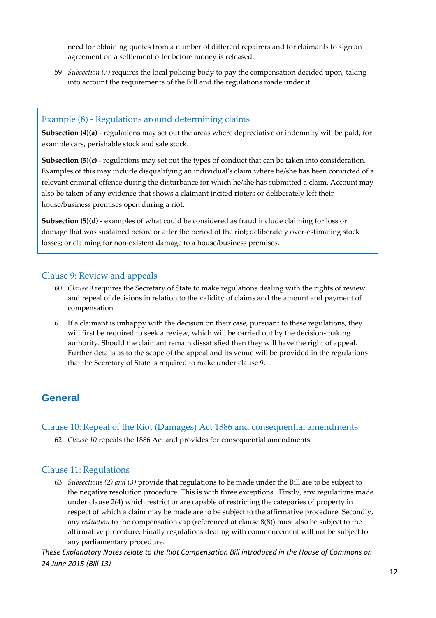need for obtaining quotes from a number of different repairers and for claimants to sign an agreement on a settlement offer before money is released.

59 *Subsection (7)* requires the local policing body to pay the compensation decided upon, taking into account the requirements of the Bill and the regulations made under it.

#### Example (8) ‐ Regulations around determining claims

**Subsection (4)(a)** ‐ regulations may set out the areas where depreciative or indemnity will be paid, for example cars, perishable stock and sale stock.

**Subsection (5)(c)** - regulations may set out the types of conduct that can be taken into consideration. Examples of this may include disqualifying an individualʹs claim where he/she has been convicted of a relevant criminal offence during the disturbance for which he/she has submitted a claim. Account may also be taken of any evidence that shows a claimant incited rioters or deliberately left their house/business premises open during a riot.

**Subsection (5)(d)** ‐ examples of what could be considered as fraud include claiming for loss or damage that was sustained before or after the period of the riot; deliberately over‐estimating stock losses; or claiming for non-existent damage to a house/business premises.

#### Clause 9: Review and appeals

- 60 *Clause 9* requires the Secretary of State to make regulations dealing with the rights of review and repeal of decisions in relation to the validity of claims and the amount and payment of compensation.
- 61 If a claimant is unhappy with the decision on their case, pursuant to these regulations, they will first be required to seek a review, which will be carried out by the decision-making authority. Should the claimant remain dissatisfied then they will have the right of appeal. Further details as to the scope of the appeal and its venue will be provided in the regulations that the Secretary of State is required to make under clause 9.

## **General**

#### Clause 10: Repeal of the Riot (Damages) Act 1886 and consequential amendments

62 *Clause 10* repeals the 1886 Act and provides for consequential amendments.

#### Clause 11: Regulations

63 *Subsections (2) and (3)* provide that regulations to be made under the Bill are to be subject to the negative resolution procedure. This is with three exceptions. Firstly, any regulations made under clause 2(4) which restrict or are capable of restricting the categories of property in respect of which a claim may be made are to be subject to the affirmative procedure. Secondly, any *reduction* to the compensation cap (referenced at clause 8(8)) must also be subject to the affirmative procedure. Finally regulations dealing with commencement will not be subject to any parliamentary procedure.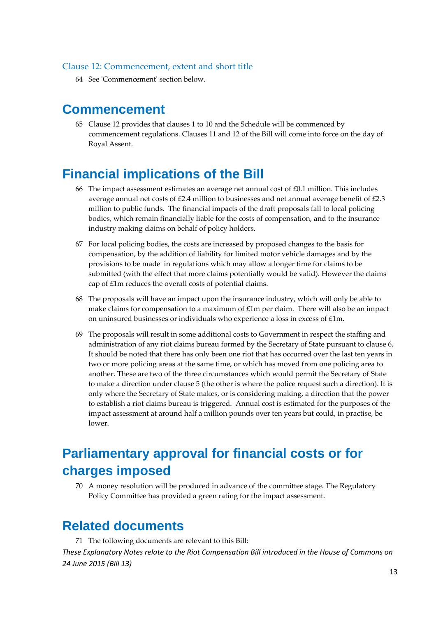#### Clause 12: Commencement, extent and short title

64 See ʹCommencementʹ section below.

## **Commencement**

65 Clause 12 provides that clauses 1 to 10 and the Schedule will be commenced by commencement regulations. Clauses 11 and 12 of the Bill will come into force on the day of Royal Assent.

## **Financial implications of the Bill**

- 66 The impact assessment estimates an average net annual cost of  $\text{\pounds}0.1$  million. This includes average annual net costs of £2.4 million to businesses and net annual average benefit of £2.3 million to public funds. The financial impacts of the draft proposals fall to local policing bodies, which remain financially liable for the costs of compensation, and to the insurance industry making claims on behalf of policy holders.
- 67 For local policing bodies, the costs are increased by proposed changes to the basis for compensation, by the addition of liability for limited motor vehicle damages and by the provisions to be made in regulations which may allow a longer time for claims to be submitted (with the effect that more claims potentially would be valid). However the claims cap of £1m reduces the overall costs of potential claims.
- 68 The proposals will have an impact upon the insurance industry, which will only be able to make claims for compensation to a maximum of £1m per claim. There will also be an impact on uninsured businesses or individuals who experience a loss in excess of £1m.
- 69 The proposals will result in some additional costs to Government in respect the staffing and administration of any riot claims bureau formed by the Secretary of State pursuant to clause 6. It should be noted that there has only been one riot that has occurred over the last ten years in two or more policing areas at the same time, or which has moved from one policing area to another. These are two of the three circumstances which would permit the Secretary of State to make a direction under clause 5 (the other is where the police request such a direction). It is only where the Secretary of State makes, or is considering making, a direction that the power to establish a riot claims bureau is triggered. Annual cost is estimated for the purposes of the impact assessment at around half a million pounds over ten years but could, in practise, be lower.

## **Parliamentary approval for financial costs or for charges imposed**

70 A money resolution will be produced in advance of the committee stage. The Regulatory Policy Committee has provided a green rating for the impact assessment.

## **Related documents**

71 The following documents are relevant to this Bill: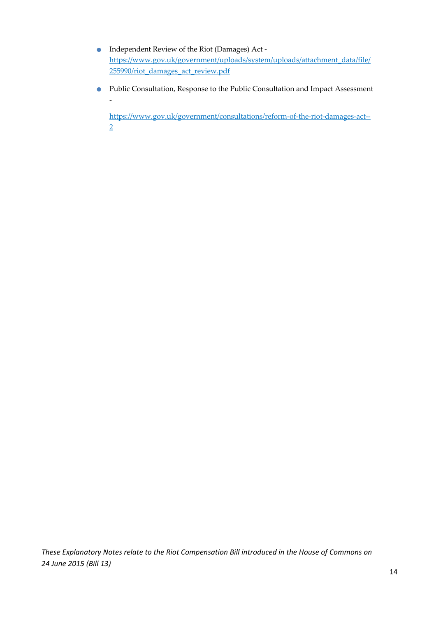- Independent Review of the Riot (Damages) Act ‐ https://www.gov.uk/government/uploads/system/uploads/attachment\_data/file/ 255990/riot\_damages\_act\_review.pdf
- Public Consultation, Response to the Public Consultation and Impact Assessment ‐

https://www.gov.uk/government/consultations/reform-of-the-riot-damages-act--2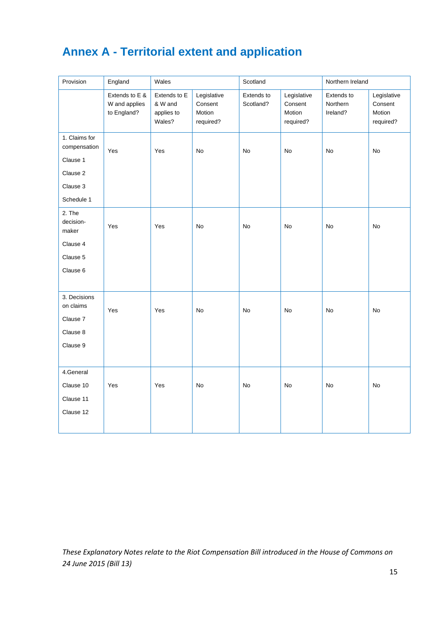## **Annex A - Territorial extent and application**

| Provision                                                                       | England                                        | Wales                                           |                                               | Scotland                |                                               | Northern Ireland                   |                                               |
|---------------------------------------------------------------------------------|------------------------------------------------|-------------------------------------------------|-----------------------------------------------|-------------------------|-----------------------------------------------|------------------------------------|-----------------------------------------------|
|                                                                                 | Extends to E &<br>W and applies<br>to England? | Extends to E<br>& W and<br>applies to<br>Wales? | Legislative<br>Consent<br>Motion<br>required? | Extends to<br>Scotland? | Legislative<br>Consent<br>Motion<br>required? | Extends to<br>Northern<br>Ireland? | Legislative<br>Consent<br>Motion<br>required? |
| 1. Claims for<br>compensation<br>Clause 1<br>Clause 2<br>Clause 3<br>Schedule 1 | Yes                                            | Yes                                             | No                                            | No                      | No                                            | No                                 | No                                            |
| 2. The<br>decision-<br>maker<br>Clause 4<br>Clause 5<br>Clause 6                | Yes                                            | Yes                                             | No                                            | No                      | No                                            | No                                 | No                                            |
| 3. Decisions<br>on claims<br>Clause 7<br>Clause 8<br>Clause 9                   | Yes                                            | Yes                                             | No                                            | No                      | No                                            | <b>No</b>                          | No                                            |
| 4.General<br>Clause 10<br>Clause 11<br>Clause 12                                | Yes                                            | Yes                                             | No                                            | No                      | No                                            | No                                 | No                                            |